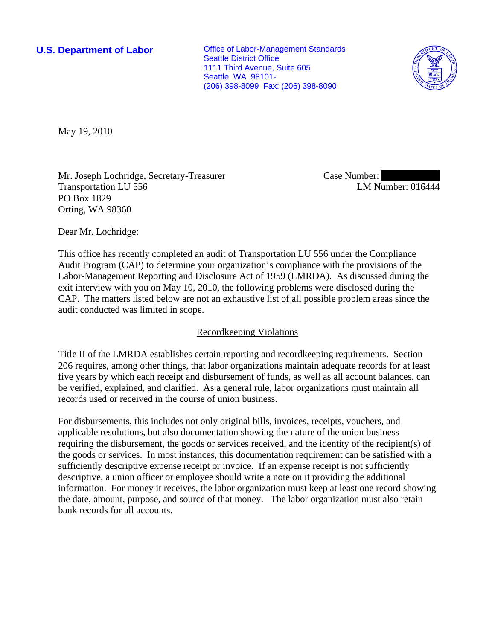**U.S. Department of Labor Conservative Conservative Conservative Conservative Conservative Conservative Conservative Conservative Conservative Conservative Conservative Conservative Conservative Conservative Conservative** Seattle District Office 1111 Third Avenue, Suite 605 Seattle, WA 98101- (206) 398-8099 Fax: (206) 398-8090



May 19, 2010

Mr. Joseph Lochridge, Secretary-Treasurer Transportation LU 556 PO Box 1829 Orting, WA 98360

Case Number: LM Number: 016444

Dear Mr. Lochridge:

This office has recently completed an audit of Transportation LU 556 under the Compliance Audit Program (CAP) to determine your organization's compliance with the provisions of the Labor-Management Reporting and Disclosure Act of 1959 (LMRDA). As discussed during the exit interview with you on May 10, 2010, the following problems were disclosed during the CAP. The matters listed below are not an exhaustive list of all possible problem areas since the audit conducted was limited in scope.

## Recordkeeping Violations

Title II of the LMRDA establishes certain reporting and recordkeeping requirements. Section 206 requires, among other things, that labor organizations maintain adequate records for at least five years by which each receipt and disbursement of funds, as well as all account balances, can be verified, explained, and clarified. As a general rule, labor organizations must maintain all records used or received in the course of union business.

For disbursements, this includes not only original bills, invoices, receipts, vouchers, and applicable resolutions, but also documentation showing the nature of the union business requiring the disbursement, the goods or services received, and the identity of the recipient(s) of the goods or services. In most instances, this documentation requirement can be satisfied with a sufficiently descriptive expense receipt or invoice. If an expense receipt is not sufficiently descriptive, a union officer or employee should write a note on it providing the additional information. For money it receives, the labor organization must keep at least one record showing the date, amount, purpose, and source of that money. The labor organization must also retain bank records for all accounts.